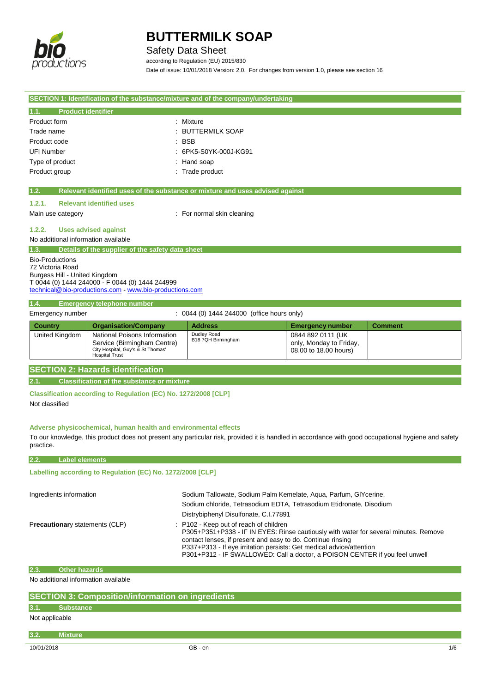

## Safety Data Sheet

according to Regulation (EU) 2015/830 Date of issue: 10/01/2018 Version: 2.0. For changes from version 1.0, please see section 16

| SECTION 1: Identification of the substance/mixture and of the company/undertaking  |                                                                  |                                                                               |                                                  |                |  |
|------------------------------------------------------------------------------------|------------------------------------------------------------------|-------------------------------------------------------------------------------|--------------------------------------------------|----------------|--|
| <b>Product identifier</b><br>1.1.                                                  |                                                                  |                                                                               |                                                  |                |  |
| Product form                                                                       |                                                                  | Mixture                                                                       |                                                  |                |  |
| Trade name                                                                         |                                                                  | <b>BUTTERMILK SOAP</b>                                                        |                                                  |                |  |
| Product code                                                                       |                                                                  | <b>BSB</b>                                                                    |                                                  |                |  |
| <b>UFI Number</b>                                                                  |                                                                  | 6PK5-S0YK-000J-KG91                                                           |                                                  |                |  |
| Type of product                                                                    |                                                                  | Hand soap                                                                     |                                                  |                |  |
| Product group                                                                      |                                                                  | : Trade product                                                               |                                                  |                |  |
|                                                                                    |                                                                  |                                                                               |                                                  |                |  |
| 1.2.                                                                               |                                                                  | Relevant identified uses of the substance or mixture and uses advised against |                                                  |                |  |
| 1.2.1.                                                                             | <b>Relevant identified uses</b>                                  |                                                                               |                                                  |                |  |
| Main use category                                                                  |                                                                  | : For normal skin cleaning                                                    |                                                  |                |  |
|                                                                                    |                                                                  |                                                                               |                                                  |                |  |
| 1.2.2.<br><b>Uses advised against</b>                                              |                                                                  |                                                                               |                                                  |                |  |
| No additional information available                                                |                                                                  |                                                                               |                                                  |                |  |
| Details of the supplier of the safety data sheet<br>1.3.<br><b>Bio-Productions</b> |                                                                  |                                                                               |                                                  |                |  |
| 72 Victoria Road                                                                   |                                                                  |                                                                               |                                                  |                |  |
| Burgess Hill - United Kingdom                                                      |                                                                  |                                                                               |                                                  |                |  |
| T 0044 (0) 1444 244000 - F 0044 (0) 1444 244999                                    |                                                                  |                                                                               |                                                  |                |  |
| technical@bio-productions.com - www.bio-productions.com                            |                                                                  |                                                                               |                                                  |                |  |
| 1.4.                                                                               | <b>Emergency telephone number</b>                                |                                                                               |                                                  |                |  |
| Emergency number                                                                   |                                                                  | : 0044 (0) 1444 244000 (office hours only)                                    |                                                  |                |  |
| <b>Country</b>                                                                     | <b>Organisation/Company</b>                                      | <b>Address</b>                                                                | <b>Emergency number</b>                          | <b>Comment</b> |  |
| United Kingdom                                                                     | National Poisons Information                                     | Dudley Road                                                                   | 0844 892 0111 (UK                                |                |  |
|                                                                                    |                                                                  |                                                                               |                                                  |                |  |
|                                                                                    | <b>Hospital Trust</b>                                            |                                                                               |                                                  |                |  |
| <b>SECTION 2: Hazards identification</b>                                           |                                                                  |                                                                               |                                                  |                |  |
|                                                                                    | Service (Birmingham Centre)<br>City Hospital, Guy's & St Thomas' | B18 7QH Birmingham                                                            | only, Monday to Friday,<br>08.00 to 18.00 hours) |                |  |

**2.1. Classification of the substance or mixture**

**Classification according to Regulation (EC) No. 1272/2008 [CLP]** Not classified

### **Adverse physicochemical, human health and environmental effects**

To our knowledge, this product does not present any particular risk, provided it is handled in accordance with good occupational hygiene and safety practice.

### **2.2. Label elements**

**Labelling according to Regulation (EC) No. 1272/2008 [CLP]** 

| Ingredients information        | Sodium Tallowate, Sodium Palm Kemelate, Agua, Parfum, GIYcerine,<br>Sodium chloride, Tetrasodium EDTA, Tetrasodium Etidronate, Disodium<br>Distrybiphenyl Disulfonate, C.I.77891                                                                                                                                                                   |
|--------------------------------|----------------------------------------------------------------------------------------------------------------------------------------------------------------------------------------------------------------------------------------------------------------------------------------------------------------------------------------------------|
| Precautionary statements (CLP) | P102 - Keep out of reach of children<br>P305+P351+P338 - IF IN EYES: Rinse cautiously with water for several minutes. Remove<br>contact lenses, if present and easy to do. Continue rinsing<br>P337+P313 - If eye irritation persists: Get medical advice/attention<br>P301+P312 - IF SWALLOWED: Call a doctor, a POISON CENTER if you feel unwell |

### **2.3. Other hazards**

No additional information available

# **SECTION 3: Composition/information on ingredients**

**3.1. Substance**

Not applicable

## **3.2. Mixture**

10/01/2018 GB - en 1/6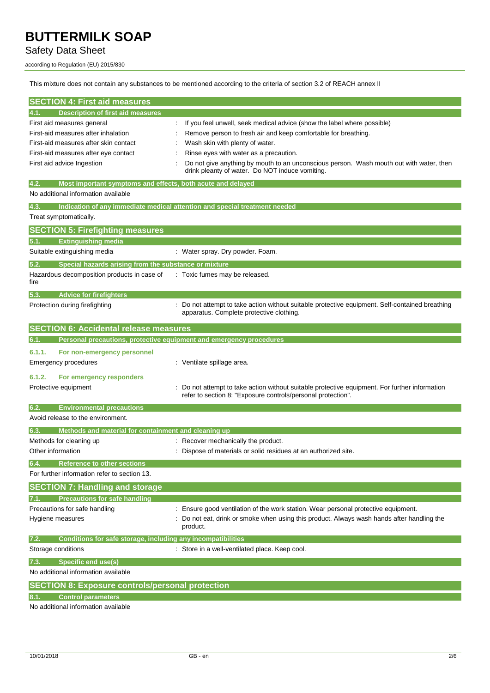# Safety Data Sheet

according to Regulation (EU) 2015/830

This mixture does not contain any substances to be mentioned according to the criteria of section 3.2 of REACH annex II

| <b>SECTION 4: First aid measures</b>                                                       |                                                                                                      |
|--------------------------------------------------------------------------------------------|------------------------------------------------------------------------------------------------------|
| <b>Description of first aid measures</b><br> 4.1.                                          |                                                                                                      |
| First aid measures general                                                                 | If you feel unwell, seek medical advice (show the label where possible)                              |
| First-aid measures after inhalation                                                        | Remove person to fresh air and keep comfortable for breathing.                                       |
| First-aid measures after skin contact                                                      | Wash skin with plenty of water.                                                                      |
| First-aid measures after eye contact                                                       | Rinse eyes with water as a precaution.                                                               |
| First aid advice Ingestion                                                                 | Do not give anything by mouth to an unconscious person. Wash mouth out with water, then              |
|                                                                                            | drink pleanty of water. Do NOT induce vomiting.                                                      |
| 4.2.<br>Most important symptoms and effects, both acute and delayed                        |                                                                                                      |
| No additional information available                                                        |                                                                                                      |
| 4.3.                                                                                       | Indication of any immediate medical attention and special treatment needed                           |
| Treat symptomatically.                                                                     |                                                                                                      |
| <b>SECTION 5: Firefighting measures</b>                                                    |                                                                                                      |
| <b>Extinguishing media</b><br>5.1.                                                         |                                                                                                      |
| Suitable extinguishing media                                                               | : Water spray. Dry powder. Foam.                                                                     |
| 5.2.<br>Special hazards arising from the substance or mixture                              |                                                                                                      |
| Hazardous decomposition products in case of                                                | Toxic fumes may be released.                                                                         |
| fire                                                                                       |                                                                                                      |
| 5.3.<br><b>Advice for firefighters</b>                                                     |                                                                                                      |
| Protection during firefighting                                                             | Do not attempt to take action without suitable protective equipment. Self-contained breathing        |
|                                                                                            | apparatus. Complete protective clothing.                                                             |
| <b>SECTION 6: Accidental release measures</b>                                              |                                                                                                      |
| Personal precautions, protective equipment and emergency procedures<br>6.1.                |                                                                                                      |
| 6.1.1.<br>For non-emergency personnel                                                      |                                                                                                      |
| <b>Emergency procedures</b>                                                                | : Ventilate spillage area.                                                                           |
|                                                                                            |                                                                                                      |
| 6.1.2.<br>For emergency responders<br>Protective equipment                                 | Do not attempt to take action without suitable protective equipment. For further information         |
|                                                                                            | refer to section 8: "Exposure controls/personal protection".                                         |
| <b>Environmental precautions</b><br>6.2.                                                   |                                                                                                      |
| Avoid release to the environment.                                                          |                                                                                                      |
| Methods and material for containment and cleaning up<br>6.3.                               |                                                                                                      |
| Methods for cleaning up                                                                    | : Recover mechanically the product.                                                                  |
| Other information                                                                          | Dispose of materials or solid residues at an authorized site.                                        |
|                                                                                            |                                                                                                      |
| 6.4.<br><b>Reference to other sections</b><br>For further information refer to section 13. |                                                                                                      |
|                                                                                            |                                                                                                      |
| <b>SECTION 7: Handling and storage</b>                                                     |                                                                                                      |
| <b>Precautions for safe handling</b><br>7.1.                                               |                                                                                                      |
| Precautions for safe handling                                                              | Ensure good ventilation of the work station. Wear personal protective equipment.                     |
| Hygiene measures                                                                           | Do not eat, drink or smoke when using this product. Always wash hands after handling the<br>product. |
| 7.2.<br>Conditions for safe storage, including any incompatibilities                       |                                                                                                      |
| Storage conditions                                                                         | : Store in a well-ventilated place. Keep cool.                                                       |
|                                                                                            |                                                                                                      |
| <b>Specific end use(s)</b><br>7.3.<br>No additional information available                  |                                                                                                      |
|                                                                                            |                                                                                                      |
| <b>SECTION 8: Exposure controls/personal protection</b>                                    |                                                                                                      |
| <b>Control parameters</b><br>8.1.                                                          |                                                                                                      |
| No additional information available                                                        |                                                                                                      |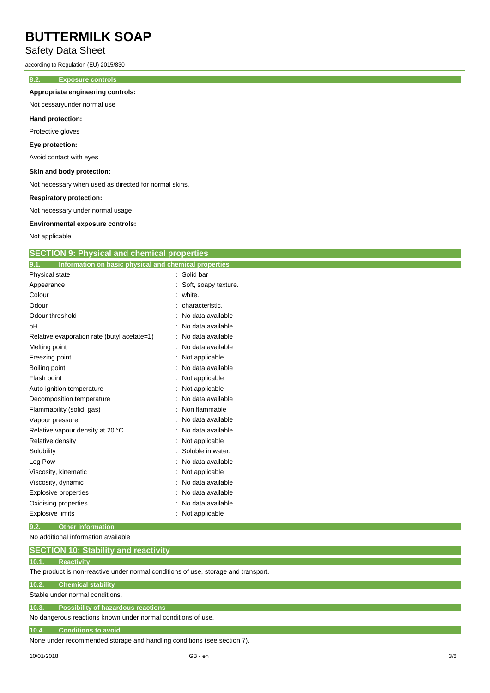# Safety Data Sheet

according to Regulation (EU) 2015/830

### **8.2. Exposure controls**

### **Appropriate engineering controls:**

Not cessaryunder normal use

#### **Hand protection:**

Protective gloves

#### **Eye protection:**

Avoid contact with eyes

### **Skin and body protection:**

Not necessary when used as directed for normal skins.

#### **Respiratory protection:**

Not necessary under normal usage

#### **Environmental exposure controls:**

Not applicable

|  |  | <b>SECTION 9: Physical and chemical properties</b> |  |
|--|--|----------------------------------------------------|--|
|--|--|----------------------------------------------------|--|

| Information on basic physical and chemical properties<br>9.1. |                      |
|---------------------------------------------------------------|----------------------|
| Physical state                                                | : Solid bar          |
| Appearance                                                    | Soft, soapy texture. |
| Colour                                                        | white.               |
| Odour                                                         | characteristic.      |
| Odour threshold                                               | No data available    |
| pH                                                            | No data available    |
| Relative evaporation rate (butyl acetate=1)                   | No data available    |
| Melting point                                                 | No data available    |
| Freezing point                                                | Not applicable       |
| Boiling point                                                 | No data available    |
| Flash point                                                   | Not applicable       |
| Auto-ignition temperature                                     | Not applicable       |
| Decomposition temperature                                     | No data available    |
| Flammability (solid, gas)                                     | Non flammable        |
| Vapour pressure                                               | No data available    |
| Relative vapour density at 20 °C                              | No data available    |
| Relative density                                              | Not applicable       |
| Solubility                                                    | Soluble in water.    |
| Log Pow                                                       | No data available    |
| Viscosity, kinematic                                          | Not applicable       |
| Viscosity, dynamic                                            | No data available    |
| Explosive properties                                          | No data available    |
| Oxidising properties                                          | No data available    |
| <b>Explosive limits</b>                                       | Not applicable       |

**9.2. Other information**

No additional information available

### **10.1. Reactivity**

The product is non-reactive under normal conditions of use, storage and transport.

### **10.2. Chemical stability**

Stable under normal conditions.

# **10.3. Possibility of hazardous reactions**

No dangerous reactions known under normal conditions of use.

#### **10.4. Conditions to avoid**

None under recommended storage and handling conditions (see section 7).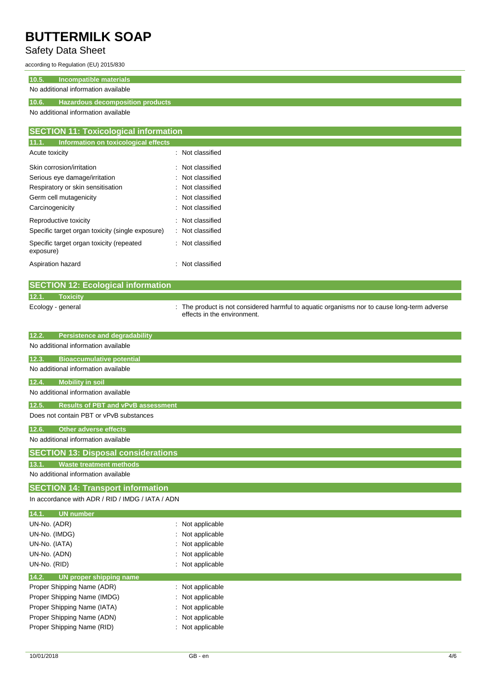# Safety Data Sheet

according to Regulation (EU) 2015/830

## **10.5. Incompatible materials**

## No additional information available

## **10.6. Hazardous decomposition products**

No additional information available

| <b>SECTION 11: Toxicological information</b>          |                  |
|-------------------------------------------------------|------------------|
| 11.1.<br>Information on toxicological effects         |                  |
| Acute toxicity                                        | : Not classified |
| Skin corrosion/irritation                             | : Not classified |
| Serious eye damage/irritation                         | : Not classified |
| Respiratory or skin sensitisation                     | : Not classified |
| Germ cell mutagenicity                                | : Not classified |
| Carcinogenicity                                       | : Not classified |
| Reproductive toxicity                                 | : Not classified |
| Specific target organ toxicity (single exposure)      | : Not classified |
| Specific target organ toxicity (repeated<br>exposure) | : Not classified |
| Aspiration hazard                                     | : Not classified |
|                                                       |                  |

|       | <b>SECTION 12: Ecological information</b> |                                                                                                                            |
|-------|-------------------------------------------|----------------------------------------------------------------------------------------------------------------------------|
| 12.1. | <b>Toxicity</b>                           |                                                                                                                            |
|       | Ecology - general                         | : The product is not considered harmful to aquatic organisms nor to cause long-term adverse<br>effects in the environment. |

| 12.2.<br><b>Persistence and degradability</b>      |                  |  |  |  |
|----------------------------------------------------|------------------|--|--|--|
| No additional information available                |                  |  |  |  |
| 12.3.<br><b>Bioaccumulative potential</b>          |                  |  |  |  |
| No additional information available                |                  |  |  |  |
| 12.4.<br><b>Mobility in soil</b>                   |                  |  |  |  |
| No additional information available                |                  |  |  |  |
| 12.5.<br><b>Results of PBT and vPvB assessment</b> |                  |  |  |  |
| Does not contain PBT or vPvB substances            |                  |  |  |  |
| 12.6.<br><b>Other adverse effects</b>              |                  |  |  |  |
| No additional information available                |                  |  |  |  |
| <b>SECTION 13: Disposal considerations</b>         |                  |  |  |  |
| <b>Waste treatment methods</b><br>13.1.            |                  |  |  |  |
| No additional information available                |                  |  |  |  |
| <b>SECTION 14: Transport information</b>           |                  |  |  |  |
| In accordance with ADR / RID / IMDG / IATA / ADN   |                  |  |  |  |
| 14.1.<br><b>UN number</b>                          |                  |  |  |  |
| UN-No. (ADR)                                       | : Not applicable |  |  |  |
| UN-No. (IMDG)                                      | : Not applicable |  |  |  |
| UN-No. (IATA)                                      | : Not applicable |  |  |  |
| UN-No. (ADN)                                       | : Not applicable |  |  |  |
| UN-No. (RID)                                       | : Not applicable |  |  |  |
| 14.2.<br>UN proper shipping name                   |                  |  |  |  |

| Proper Shipping Name (ADR)  | : Not applicable |
|-----------------------------|------------------|
| Proper Shipping Name (IMDG) | : Not applicable |
| Proper Shipping Name (IATA) | : Not applicable |
| Proper Shipping Name (ADN)  | : Not applicable |
| Proper Shipping Name (RID)  | : Not applicable |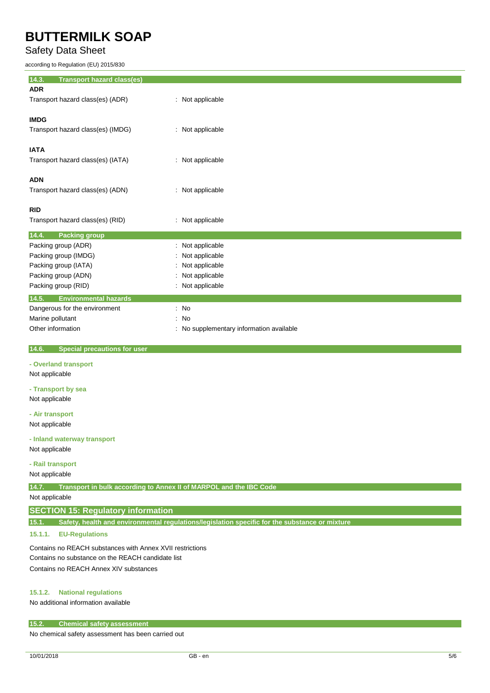Safety Data Sheet

according to Regulation (EU) 2015/830

| 14.3.<br><b>Transport hazard class(es)</b> |                                          |
|--------------------------------------------|------------------------------------------|
| <b>ADR</b>                                 |                                          |
| Transport hazard class(es) (ADR)           | : Not applicable                         |
|                                            |                                          |
| <b>IMDG</b>                                |                                          |
| Transport hazard class(es) (IMDG)          | : Not applicable                         |
| <b>IATA</b>                                |                                          |
| Transport hazard class(es) (IATA)          | : Not applicable                         |
|                                            |                                          |
| <b>ADN</b>                                 |                                          |
| Transport hazard class(es) (ADN)           | : Not applicable                         |
|                                            |                                          |
| <b>RID</b>                                 |                                          |
| Transport hazard class(es) (RID)           | : Not applicable                         |
| 14.4.<br><b>Packing group</b>              |                                          |
| Packing group (ADR)                        | : Not applicable                         |
| Packing group (IMDG)                       | : Not applicable                         |
| Packing group (IATA)                       | : Not applicable                         |
| Packing group (ADN)                        | : Not applicable                         |
| Packing group (RID)                        | : Not applicable                         |
| 14.5.<br><b>Environmental hazards</b>      |                                          |
| Dangerous for the environment              | : No                                     |
| Marine pollutant                           | : No                                     |
| Other information                          | : No supplementary information available |

 **14.6. Special precautions for user**

### **- Overland transport**

Not applicable

**- Transport by sea** Not applicable

**- Air transport** Not applicable

**- Inland waterway transport**

Not applicable

### **- Rail transport**

Not applicable

**14.7. Transport in bulk according to Annex II of MARPOL and the IBC Code**

Not applicable

### **SECTION 15: Regulatory information**

**15.1. Safety, health and environmental regulations/legislation specific for the substance or mixture**

### **15.1.1. EU-Regulations**

Contains no REACH substances with Annex XVII restrictions Contains no substance on the REACH candidate list Contains no REACH Annex XIV substances

### **15.1.2. National regulations**

No additional information available

### **15.2. Chemical safety assessment**

No chemical safety assessment has been carried out